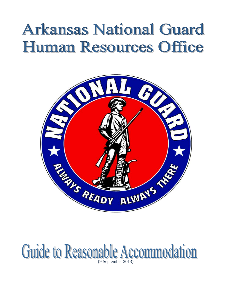# **Arkansas National Guard Human Resources Office**



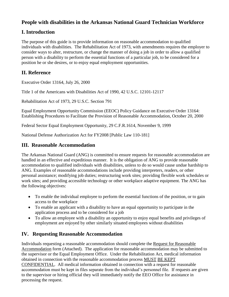# **People with disabilities in the Arkansas National Guard Technician Workforce**

# **I. Introduction**

The purpose of this guide is to provide information on reasonable accommodation to qualified individuals with disabilities. The Rehabilitation Act of 1973, with amendments requires the employer to consider ways to alter, restructure, or change the manner of doing a job in order to allow a qualified person with a disability to perform the essential functions of a particular job, to be considered for a position he or she desires, or to enjoy equal employment opportunities.

# **II. Reference**

Executive Order 13164, July 26, 2000

Title 1 of the Americans with Disabilities Act of 1990, 42 U.S.C. 12101-12117

Rehabilitation Act of 1973, 29 U.S.C. Section 791

Equal Employment Opportunity Commission (EEOC) Policy Guidance on Executive Order 13164: Establishing Procedures to Facilitate the Provision of Reasonable Accommodation, October 20, 2000

Federal Sector Equal Employment Opportunity, 29 C.F.R.1614, November 9, 1999

National Defense Authorization Act for FY2008 [Public Law 110-181]

## **III. Reasonable Accommodation**

The Arkansas National Guard (ANG) is committed to ensure requests for reasonable accommodation are handled in an effective and expeditious manner. It is the obligation of ANG to provide reasonable accommodation to qualified individuals with disabilities, unless to do so would cause undue hardship to ANG. Examples of reasonable accommodations include providing interpreters, readers, or other personal assistance; modifying job duties; restructuring work sites; providing flexible work schedules or work sites; and providing accessible technology or other workplace adaptive equipment. The ANG has the following objectives:

- To enable the individual employee to perform the essential functions of the position, or to gain access to the workplace
- To enable an applicant with a disability to have an equal opportunity to participate in the application process and to be considered for a job
- To allow an employee with a disability an opportunity to enjoy equal benefits and privileges of employment are enjoyed by other similarly situated employees without disabilities

# **IV. Requesting Reasonable Accommodation**

Individuals requesting a reasonable accommodation should complete the Request for Reasonable Accommodation form (Attached). The application for reasonable accommodation may be submitted to the supervisor or the Equal Employment Office. Under the Rehabilitation Act, medical information obtained in connection with the reasonable accommodation process MUST BE KEPT CONFIDENTIAL. All medical information obtained in connection with a request for reasonable accommodation must be kept in files separate from the individual's personnel file. If requests are given to the supervisor or hiring official they will immediately notify the EEO Office for assistance in processing the request.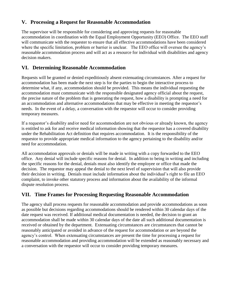# **V. Processing a Request for Reasonable Accommodation**

The supervisor will be responsible for considering and approving requests for reasonable accommodation in coordination with the Equal Employment Opportunity (EEO) Office. The EEO staff will communicate with the requester to ensure that all effective accommodations have been considered where the specific limitation, problem or barrier is unclear. The EEO office will oversee the agency's reasonable accommodation process and will act as a resource for individual with disabilities and agency decision makers.

# **VI. Determining Reasonable Accommodation**

Requests will be granted or denied expeditiously absent extenuating circumstances. After a request for accommodation has been made the next step is for the parties to begin the interactive process to determine what, if any, accommodation should be provided. This means the individual requesting the accommodation must communicate with the responsible designated agency official about the request, the precise nature of the problem that is generating the request, how a disability is prompting a need for an accommodation and alternative accommodations that may be effective in meeting the requestor's needs. In the event of a delay, a conversation with the requestor will occur to consider providing temporary measures.

If a requestor's disability and/or need for accommodation are not obvious or already known, the agency is entitled to ask for and receive medical information showing that the requestor has a covered disability under the Rehabilitation Act definition that requires accommodation. It is the responsibility of the requestor to provide appropriate medical information to the agency pertaining to the disability and/or need for accommodation.

All accommodation approvals or denials will be made in writing with a copy forwarded to the EEO office. Any denial will include specific reasons for denial. In addition to being in writing and including the specific reasons for the denial, denials must also identify the employee or office that made the decision. The requestor may appeal the denial to the next level of supervision that will also provide their decision in writing. Denials must include information about the individual's right to file an EEO complaint, to invoke other statutory process and information about the availability of the informal dispute resolution process.

# **VII. Time Frames for Processing Requesting Reasonable Accommodation**

The agency shall process requests for reasonable accommodation and provide accommodations as soon as possible but decisions regarding accommodations should be rendered within 30 calendar days of the date request was received. If additional medical documentation is needed, the decision to grant an accommodation shall be made within 30 calendar days of the date all such additional documentation is received or obtained by the department. Extenuating circumstances are circumstances that cannot be reasonably anticipated or avoided in advance of the request for accommodation or are beyond the agency's control. When extenuating circumstances are present the time for processing a request for reasonable accommodation and providing accommodation will be extended as reasonably necessary and a conversation with the requestor will occur to consider providing temporary measures.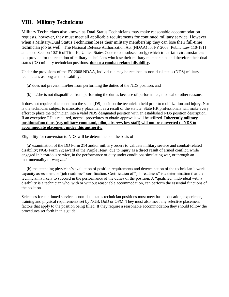## **VIII. Military Technicians**

Military Technicians also known as Dual Status Technicians may make reasonable accommodation requests, however, they must meet all applicable requirements for continued military service. However when a Military/Dual Status Technician loses their military membership they can lose their full-time technician job as well. The National Defense Authorization Act (NDAA) for FY 2008 [Public Law 110-181] amended Section 10216 of Title 10, United States Code to add subsection (g) which in certain circumstances can provide for the retention of military technicians who lose their military membership, and therefore their dualstatus (DS) military technician positions, **due to a combat-related disability.** 

Under the provisions of the FY 2008 NDAA, individuals may be retained as non-dual status (NDS) military technicians as long as the disability:

- (a) does not prevent him/her from performing the duties of the NDS position, and
- (b) he/she is not disqualified from performing the duties because of performance, medical or other reasons.

It does not require placement into the same [DS] position the technician held prior to mobilization and injury. Nor is the technician subject to mandatory placement as a result of the statute. State HR professionals will make every effort to place the technician into a valid NDS designated position with an established NDS position description. If an exception PD is required, normal procedures to obtain approvals will be utilized. **Inherently military positions/functions (e.g. military command, pilot, aircrew, key staff) will not be converted to NDS to accommodate placement under this authority.** 

Eligibility for conversion to NDS will be determined on the basis of:

 (a) examination of the DD Form 214 and/or military orders to validate military service and combat-related disability; NGB Form 22; award of the Purple Heart, due to injury as a direct result of armed conflict, while engaged in hazardous service, in the performance of duty under conditions simulating war, or through an instrumentality of war; *and* 

(b) the attending physician's evaluation of position requirements and determination of the technician's work capacity assessment or "job readiness" certification. Certification of "job readiness" is a determination that the technician is likely to succeed in the performance of the duties of the position. A "qualified" individual with a disability is a technician who, with or without reasonable accommodation, can perform the essential functions of the position.

Selectees for continued service as non-dual status technician positions must meet basic education, experience, training and physical requirements set by NGB, DoD or OPM. They must also meet any selective placement factors that apply to the position being filled. If they require a reasonable accommodation they should follow the procedures set forth in this guide.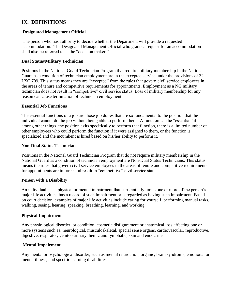## **IX. DEFINITIONS**

## **Designated Management Official**.

The person who has authority to decide whether the Department will provide a requested accommodation. The Designated Management Official who grants a request for an accommodation shall also be referred to as the "decision maker."

## **Dual Status/Military Technician**

Positions in the National Guard Technician Program that require military membership in the National Guard as a condition of technician employment are in the excepted service under the provisions of 32 USC 709. This status means they are "excepted" from the rules that govern civil service employees in the areas of tenure and competitive requirements for appointments. Employment as a NG military technician does not result in "competitive" civil service status. Loss of military membership for any reason can cause termination of technician employment.

### **Essential Job Functions**

The essential functions of a job are those job duties that are so fundamental to the position that the individual cannot do the job without being able to perform them. A function can be "essential" if, among other things, the position exits specifically to perform that function, there is a limited number of other employees who could perform the function if it were assigned to them, or the function is specialized and the incumbent is hired based on his/her ability to perform it.

#### **Non-Dual Status Technician**

Positions in the National Guard Technician Program that do not require military membership in the National Guard as a condition of technician employment are Non-Dual Status Technicians. This status means the rules that govern civil service employees in the areas of tenure and competitive requirements for appointments are in force and result in "competitive" civil service status.

#### **Person with a Disability**

An individual has a physical or mental impairment that substantially limits one or more of the person's major life activities; has a record of such impairment or is regarded as having such impairment. Based on court decision, examples of major life activities include caring for yourself, performing manual tasks, walking, seeing, hearing, speaking, breathing, learning, and working.

#### **Physical Impairment**

Any physiological disorder, or condition, cosmetic disfigurement or anatomical loss affecting one or more systems such as: neurological, musculoskeletal, special sense organs, cardiovascular, reproductive, digestive, respirator, genitor-urinary, hemic and lymphatic, skin and endocrine

## **Mental Impairment**

Any mental or psychological disorder, such as mental retardation, organic, brain syndrome, emotional or mental illness, and specific learning disabilities.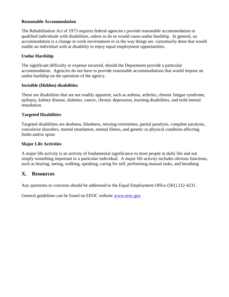#### **Reasonable Accommodation**

The Rehabilitation Act of 1973 requires federal agencies t provide reasonable accommodation to qualified individuals with disabilities, unless to do so would cause undue hardship. In general, an accommodation is a change in work environment or in the way things are customarily done that would enable an individual with at disability to enjoy equal employment opportunities.

## **Undue Hardship**

The significant difficulty or expense incurred, should the Department provide a particular accommodation. Agencies do not have to provide reasonable accommodations that would impose an undue hardship on the operation of the agency.

### **Invisible (Hidden) disabilities**

These are disabilities that are not readily apparent, such as asthma, arthritis, chronic fatigue syndrome, epilepsy, kidney disease, diabetes, cancer, chronic depression, learning disabilities, and mild mental retardation.

### **Targeted Disabilities**

Targeted disabilities are deafness, blindness, missing extremities, partial paralysis, complete paralysis, convulsive disorders, mental retardation, mental illness, and genetic or physical condition affecting limbs and/or spine.

## **Major Life Activities**

A major life activity is an activity of fundamental significance to most people in daily life and not simply something important to a particular individual. A major life activity includes obvious functions, such as hearing, seeing, walking, speaking, caring for self, performing manual tasks, and breathing

## **X. Resources**

Any questions or concerns should be addressed to the Equal Employment Office (501) 212-4231.

General guidelines can be found on EEOC website [www.eeoc.gov](http://www.eeoc.gov/)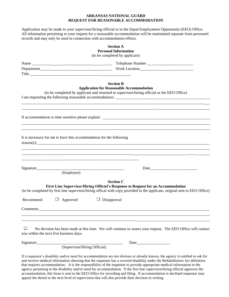#### **ARKANSAS NATIONAL GUARD REQUEST FOR REASONABLE ACCOMMODATION**

Application may be made to your supervisor/hiring official or to the Equal Employment Opportunity (EEO) Office. All information pertaining to your request for a reasonable accommodation will be maintained separate from personnel records and may only be used in connection with accommodation efforts.

|                                         | <b>Section A</b><br><b>Personal Information</b>                                                                                                                                                                                                                                             |
|-----------------------------------------|---------------------------------------------------------------------------------------------------------------------------------------------------------------------------------------------------------------------------------------------------------------------------------------------|
|                                         | (to be completed by applicant)                                                                                                                                                                                                                                                              |
|                                         |                                                                                                                                                                                                                                                                                             |
|                                         |                                                                                                                                                                                                                                                                                             |
|                                         |                                                                                                                                                                                                                                                                                             |
|                                         | <b>Section B</b><br><b>Application for Reasonable Accommodation</b><br>(to be completed by applicant and returned to supervisor/hiring official or the EEO Office)<br><u> 1989 - Johann John Stoff, deutscher Stoffen und der Stoffen und der Stoffen und der Stoffen und der Stoffen u</u> |
|                                         | 1000 - 1000 - 1000 - 1000 - 1000 - 1000 - 1000 - 1000 - 1000 - 1000 - 1000 - 1000 - 1000 - 1000 - 1000 - 1000<br>1000 - 1000 - 1000 - 1000 - 1000 - 1000 - 1000 - 1000 - 1000 - 1000 - 1000 - 1000 - 1000 - 1000 - 1000 - 1000                                                              |
|                                         | It is necessary for me to have this accommodation for the following<br>$reason(s)$ :                                                                                                                                                                                                        |
| Signature                               | <u> 1980 - Jan Barat, Amerikaansk politiker (* 1980)</u><br><u> 2000 - Jan Barnett, fransk politik (d. 1980)</u><br>(Employee)                                                                                                                                                              |
| Recommend                               | <b>Section C</b><br>First Line Supervisor/Hiring Official's Response to Request for an Accommodation<br>(to be completed by first line supervisor/hiring offical with copy provided to the applicant, original sent to EEO Office)<br>Approved<br>Ц<br>$\Box$ Disapproval                   |
|                                         | Comments                                                                                                                                                                                                                                                                                    |
| you within the next five business days. | No decision has been made at this time. We will continue to assess your request. The EEO Office will contact                                                                                                                                                                                |
| Signature                               |                                                                                                                                                                                                                                                                                             |
|                                         | (Supervisor/Hiring Official)                                                                                                                                                                                                                                                                |
|                                         |                                                                                                                                                                                                                                                                                             |

If a requestor's disability and/or need for accommodation are not obvious or already known, the agency is entitled to ask for and receive medical information showing that the requestor has a covered disability under the Rehabilitation Act definition that requires accommodation. It is the responsibility of the requestor to provide appropriate medical information to the agency pertaining to the disability and/or need for accommodation. If the first line supervisor/hiring official approves the accommodation, this form is sent to the EEO Office for recording and filing. If accommodation is declined requestor may appeal the denial to the next level of supervision that will also provide their decision in writing.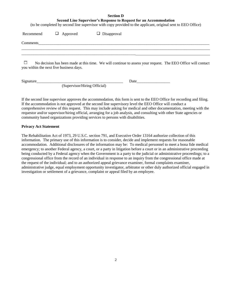#### **Section D**

**Second Line Supervisor's Response to Request for an Accommodation**

(to be completed by second line supervisor with copy provided to the applicant, original sent to EEO Office)

| Recommend | $\Box$ Approved                         | $\Box$ Disapproval                                                                                           |  |
|-----------|-----------------------------------------|--------------------------------------------------------------------------------------------------------------|--|
| Comments  |                                         |                                                                                                              |  |
|           | you within the next five business days. | No decision has been made at this time. We will continue to assess your request. The EEO Office will contact |  |
| Signature |                                         | Date                                                                                                         |  |

(Supervisor/Hiring Official)

If the second line supervisor approves the accommodation, this form is sent to the EEO Office for recording and filing. If the accommodation is not approved at the second line supervisory level the EEO Office will conduct a comprehensive review of this request. This may include asking for medical and other documentation, meeting with the requestor and/or supervisor/hiring official, arranging for a job analysis, and consulting with other State agencies or community based organizations providing services to persons with disabilities.

#### **Privacy Act Statement**

The Rehabilitation Act of 1973, 29 U.S.C. section 791, and Executive Order 13164 authorize collection of this information. The primary use of this information is to consider, decide and implement requests for reasonable accommodation. Additional disclosures of the information may be: To medical personnel to meet a bona fide medical emergency; to another Federal agency, a court, or a party in litigation before a court or in an administrative proceeding being conducted by a Federal agency when the Government is a party to the judicial or administrative proceedings; to a congressional office from the record of an individual in response to an inquiry from the congressional office made at the request of the individual; and to an authorized appeal grievance examiner, formal complaints examiner, administrative judge, equal employment opportunity investigator, arbitrator or other duly authorized official engaged in investigation or settlement of a grievance, complaint or appeal filed by an employee.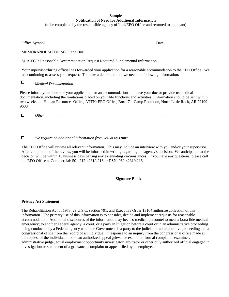#### **Sample Notification of Need for Additional Information**

(to be completed by the responsible agency official/EEO Office and returned to applicant)

Office Symbol Date

MEMORANDUM FOR SGT Jane Doe

SUBJECT: Reasonable Accommodation Request Required Supplemental Information

Your supervisor/hiring official has forwarded your application for a reasonable accommodation to the EEO Office. We are continuing to assess your request. To make a determination, we need the following information:

 $\Box$ *Medical Documentation*

Please inform your doctor of your application for an accommodation and have your doctor provide us medical documentation, including the limitations placed on your life functions and activities. Information should be sent within two weeks to: Human Resources Office, ATTN: EEO Office, Box 17 – Camp Robinson, North Little Rock, AR 72199- 9600

\_\_\_\_\_\_\_\_\_\_\_\_\_\_\_\_\_\_\_\_\_\_\_\_\_\_\_\_\_\_\_\_\_\_\_\_\_\_\_\_\_\_\_\_\_\_\_\_\_\_\_\_\_\_\_\_\_\_\_\_\_\_\_\_\_\_\_\_\_\_\_\_\_\_\_\_\_\_

 $\Box$ *Other* 

 $\Box$ *We require no additional information from you at this time.*

The EEO Office will review all relevant information. This may include an interview with you and/or your supervisor. After completion of the review, you will be informed in writing regarding the agency's decision. We anticipate that the decision will be within 15 business days barring any extenuating circumstances. If you have any questions, please call the EEO Office at Commercial: 501-212-4231/4216 or DSN: 962-4231/4216.

Signature Block

#### **Privacy Act Statement**

The Rehabilitation Act of 1973, 29 U.S.C. section 791, and Executive Order 13164 authorize collection of this information. The primary use of this information is to consider, decide and implement requests for reasonable accommodation. Additional disclosures of the information may be: To medical personnel to meet a bona fide medical emergency; to another Federal agency, a court, or a party in litigation before a court or in an administrative proceeding being conducted by a Federal agency when the Government is a party to the judicial or administrative proceedings; to a congressional office from the record of an individual in response to an inquiry from the congressional office made at the request of the individual; and to an authorized appeal grievance examiner, formal complaints examiner, administrative judge, equal employment opportunity investigator, arbitrator or other duly authorized official engaged in investigation or settlement of a grievance, complaint or appeal filed by an employee.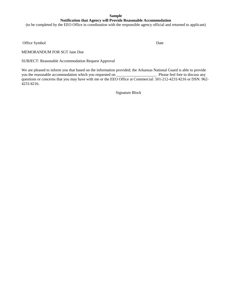#### **Sample Notification that Agency will Provide Reasonable Accommodation**

(to be completed by the EEO Office in coordination with the responsible agency official and returned to applicant)

Office Symbol Date

MEMORANDUM FOR SGT Jane Doe

SUBJECT: Reasonable Accommodation Request Approval

We are pleased to inform you that based on the information provided; the Arkansas National Guard is able to provide you the reasonable accommodation which you requested on \_\_\_\_\_\_\_\_\_\_\_\_\_\_\_\_\_\_\_. Please feel free to discuss any questions or concerns that you may have with me or the EEO Office at Commercial: 501-212-4231/4216 or DSN: 962-4231/4216.

Signature Block